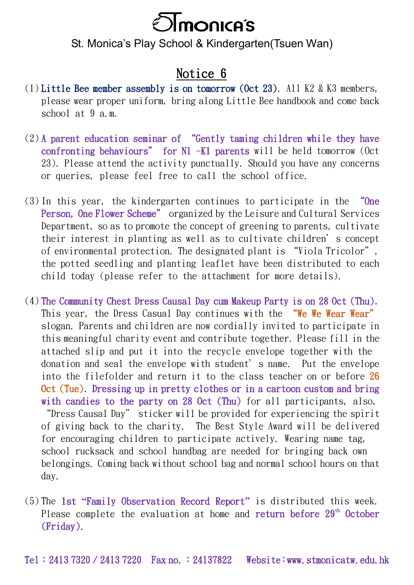

## St. Monica's Play School & Kindergarten(Tsuen Wan)

## Notice 6

- (1) Little Bee member assembly is on tomorrow (Oct 23). All K2 & K3 members, please wear proper uniform, bring along Little Bee handbook and come back school at 9 a.m.
- (2) A parent education seminar of "Gently taming children while they have confronting behaviours" for N1 -K1 parents will be held tomorrow (Oct 23). Please attend the activity punctually. Should you have any concerns or queries, please feel free to call the school office.
- (3) In this year, the kindergarten continues to participate in the "One Person, One Flower Scheme" organized by the Leisure and Cultural Services Department, so as to promote the concept of greening to parents, cultivate their interest in planting as well as to cultivate children's concept of environmental protection. The designated plant is "Viola Tricolor", the potted seedling and planting leaflet have been distributed to each child today (please refer to the attachment for more details).
- (4) The Community Chest Dress Causal Day cum Makeup Party is on 28 Oct (Thu). This year, the Dress Casual Day continues with the "We Wee Wear Wear" slogan. Parents and children are now cordially invited to participate in this meaningful charity event and contribute together. Please fill in the attached slip and put it into the recycle envelope together with the donation and seal the envelope with student's name. Put the envelope into the filefolder and return it to the class teacher on or before 26 Oct (Tue). Dressing up in pretty clothes or in a cartoon custom and bring with candies to the party on 28 Oct (Thu) for all participants, also, "Dress Causal Day" sticker will be provided for experiencing the spirit of giving back to the charity. The Best Style Award will be delivered for encouraging children to participate actively. Wearing name tag, school rucksack and school handbag are needed for bringing back own belongings. Coming back without school bag and normal school hours on that day.
- (5) The 1st **"**Family Observation Record Report**"** is distributed this week. Please complete the evaluation at home and  $return$  before  $29<sup>th</sup>$  October (Friday).